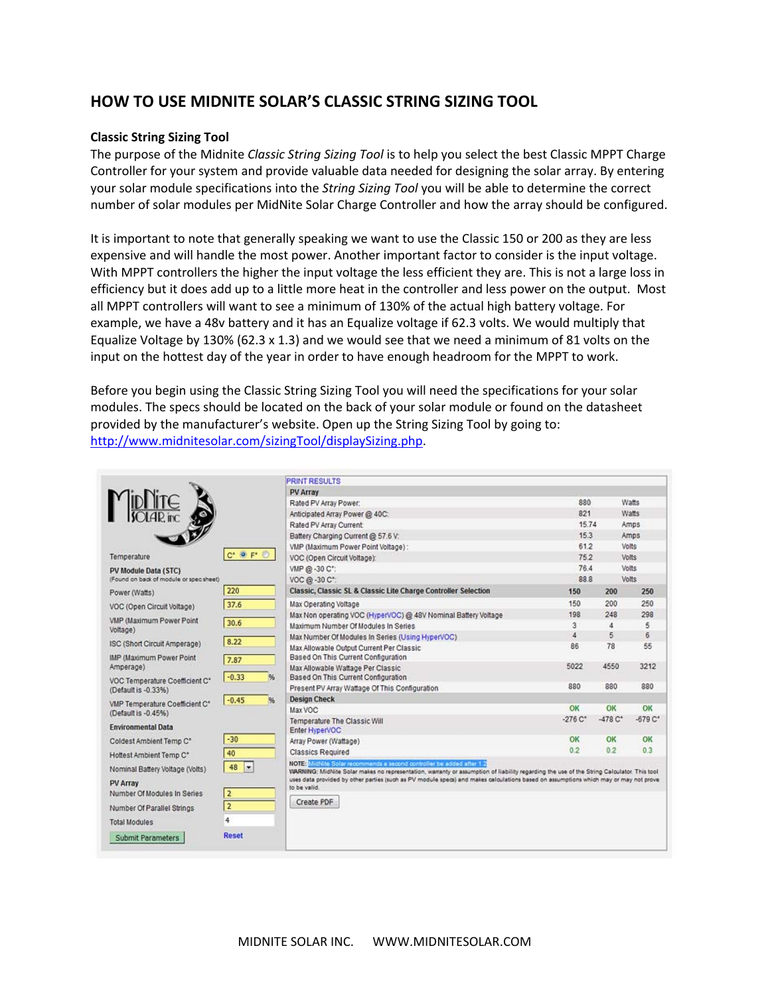# **HOW TO USE MIDNITE SOLAR'S CLASSIC STRING SIZING TOOL**

#### **Classic String Sizing Tool**

The purpose of the Midnite *Classic String Sizing Tool* is to help you select the best Classic MPPT Charge Controller for your system and provide valuable data needed for designing the solar array. By entering your solar module specifications into the *String Sizing Tool* you will be able to determine the correct number of solar modules per MidNite Solar Charge Controller and how the array should be configured.

It is important to note that generally speaking we want to use the Classic 150 or 200 as they are less expensive and will handle the most power. Another important factor to consider is the input voltage. With MPPT controllers the higher the input voltage the less efficient they are. This is not a large loss in efficiency but it does add up to a little more heat in the controller and less power on the output. Most all MPPT controllers will want to see a minimum of 130% of the actual high battery voltage. For example, we have a 48v battery and it has an Equalize voltage if 62.3 volts. We would multiply that Equalize Voltage by 130% (62.3 x 1.3) and we would see that we need a minimum of 81 volts on the input on the hottest day of the year in order to have enough headroom for the MPPT to work.

Before you begin using the Classic String Sizing Tool you will need the specifications for your solar modules. The specs should be located on the back of your solar module or found on the datasheet provided by the manufacturer's website. Open up the String Sizing Tool by going to: http://www.midnitesolar.com/sizingTool/displaySizing.php.

|                                                       |                                           | <b>PRINT RESULTS</b>                                                                                                                                                                                               |                      |                      |                      |
|-------------------------------------------------------|-------------------------------------------|--------------------------------------------------------------------------------------------------------------------------------------------------------------------------------------------------------------------|----------------------|----------------------|----------------------|
|                                                       |                                           | <b>PV Array</b>                                                                                                                                                                                                    |                      |                      |                      |
|                                                       |                                           | Rated PV Array Power:                                                                                                                                                                                              | 880                  |                      | Watts                |
|                                                       |                                           | Anticipated Array Power @ 40C:                                                                                                                                                                                     | 821                  |                      | Watts                |
|                                                       |                                           | Rated PV Array Current                                                                                                                                                                                             | 15.74                |                      | Amps                 |
|                                                       |                                           | Battery Charging Current @ 57.6 V:                                                                                                                                                                                 | 15.3                 |                      | Amps                 |
|                                                       |                                           | VMP (Maximum Power Point Voltage):                                                                                                                                                                                 | 61.2                 |                      | Volts                |
| Temperature                                           | $C^*$ $\bullet$ $F^*$ $\circlearrowright$ | VOC (Open Circuit Voltage):                                                                                                                                                                                        | 75.2                 |                      | Volts                |
| PV Module Data (STC)                                  |                                           | VMP @ -30 C*:                                                                                                                                                                                                      | 76.4                 |                      | Volts                |
| (Found on back of module or spec sheet)               |                                           | VOC @ -30 C*:                                                                                                                                                                                                      | 88.8                 |                      | Volts                |
| Power (Watts)                                         | 220                                       | Classic, Classic SL & Classic Lite Charge Controller Selection                                                                                                                                                     | 150                  | 200                  | 250                  |
| VOC (Open Circuit Voltage)                            | 37.6                                      | Max Operating Voltage                                                                                                                                                                                              | 150                  | 200                  | 250                  |
|                                                       |                                           | Max Non operating VOC (HyperVOC) @ 48V Nominal Battery Voltage                                                                                                                                                     | 198                  | 248                  | 298                  |
| VMP (Maximum Power Point<br>Voltage)                  | 30.6                                      | Maximum Number Of Modules In Series                                                                                                                                                                                | 3                    | A                    | 5                    |
|                                                       | 8.22                                      | Max Number Of Modules In Series (Using HyperVOC)                                                                                                                                                                   | $\overline{4}$       | 5                    | 6                    |
| ISC (Short Circuit Amperage)                          |                                           | Max Allowable Output Current Per Classic                                                                                                                                                                           | 86                   | 78                   | 55                   |
| <b>IMP (Maximum Power Point)</b><br>Amperage)         | 7.87                                      | Based On This Current Configuration                                                                                                                                                                                |                      |                      |                      |
|                                                       | $-0.33$<br>$96$                           | Max Allowable Wattage Per Classic<br>Based On This Current Configuration                                                                                                                                           | 5022                 | 4550                 | 3212                 |
| VOC Temperature Coefficient C*<br>(Default is -0.33%) |                                           | Present PV Array Wattage Of This Configuration                                                                                                                                                                     | 880                  | 880                  | 880                  |
| $-0.45$                                               |                                           | <b>Design Check</b>                                                                                                                                                                                                |                      |                      |                      |
| VMP Temperature Coefficient C*<br>(Default is -0.45%) | 86                                        | Max VOC                                                                                                                                                                                                            | ОК                   | OK                   | OK                   |
|                                                       |                                           | <b>Temperature The Classic Will</b>                                                                                                                                                                                | $-276C$ <sup>*</sup> | $-478C$ <sup>*</sup> | $-679C$ <sup>*</sup> |
| <b>Environmental Data</b>                             |                                           | Enter HyperVOC                                                                                                                                                                                                     |                      |                      |                      |
| Coldest Ambient Temp C*                               | $-30$                                     | Array Power (Wattage)                                                                                                                                                                                              | ОК                   | OK                   | OK                   |
| Hottest Ambient Temp C*                               | 40                                        | <b>Classics Required</b>                                                                                                                                                                                           | 0.2                  | 0.2                  | 0.3                  |
| Nominal Battery Voltage (Volts)                       | 48<br>l×.                                 | NOTE: MidNite Solar recommends a second controller be added after 1.2<br>WARNING: MidNite Solar makes no representation, warranty or assumption of liability regarding the use of the String Calculator. This tool |                      |                      |                      |
| <b>PV Array</b>                                       |                                           | uses data provided by other parties (such as PV module specs) and makes calculations based on assumptions which may or may not prove                                                                               |                      |                      |                      |
| Number Of Modules In Series                           | $\overline{2}$                            | to be valid.                                                                                                                                                                                                       |                      |                      |                      |
|                                                       |                                           | Create PDF                                                                                                                                                                                                         |                      |                      |                      |
| Number Of Parallel Strings                            | $\overline{2}$                            |                                                                                                                                                                                                                    |                      |                      |                      |
| <b>Total Modules</b>                                  | 4                                         |                                                                                                                                                                                                                    |                      |                      |                      |
| Submit Parameters                                     | Reset                                     |                                                                                                                                                                                                                    |                      |                      |                      |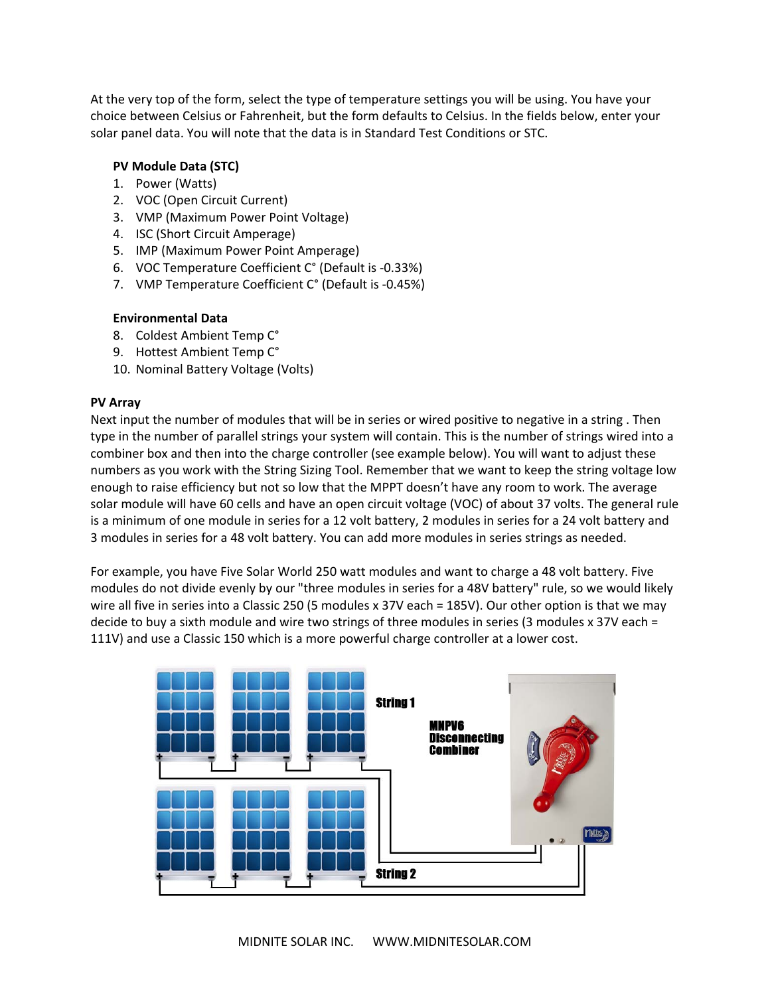At the very top of the form, select the type of temperature settings you will be using. You have your choice between Celsius or Fahrenheit, but the form defaults to Celsius. In the fields below, enter your solar panel data. You will note that the data is in Standard Test Conditions or STC.

## **PV Module Data (STC)**

- 1. Power (Watts)
- 2. VOC (Open Circuit Current)
- 3. VMP (Maximum Power Point Voltage)
- 4. ISC (Short Circuit Amperage)
- 5. IMP (Maximum Power Point Amperage)
- 6. VOC Temperature Coefficient C° (Default is ‐0.33%)
- 7. VMP Temperature Coefficient C° (Default is ‐0.45%)

## **Environmental Data**

- 8. Coldest Ambient Temp C°
- 9. Hottest Ambient Temp C°
- 10. Nominal Battery Voltage (Volts)

## **PV Array**

Next input the number of modules that will be in series or wired positive to negative in a string . Then type in the number of parallel strings your system will contain. This is the number of strings wired into a combiner box and then into the charge controller (see example below). You will want to adjust these numbers as you work with the String Sizing Tool. Remember that we want to keep the string voltage low enough to raise efficiency but not so low that the MPPT doesn't have any room to work. The average solar module will have 60 cells and have an open circuit voltage (VOC) of about 37 volts. The general rule is a minimum of one module in series for a 12 volt battery, 2 modules in series for a 24 volt battery and 3 modules in series for a 48 volt battery. You can add more modules in series strings as needed.

For example, you have Five Solar World 250 watt modules and want to charge a 48 volt battery. Five modules do not divide evenly by our "three modules in series for a 48V battery" rule, so we would likely wire all five in series into a Classic 250 (5 modules x 37V each = 185V). Our other option is that we may decide to buy a sixth module and wire two strings of three modules in series (3 modules x 37V each = 111V) and use a Classic 150 which is a more powerful charge controller at a lower cost.